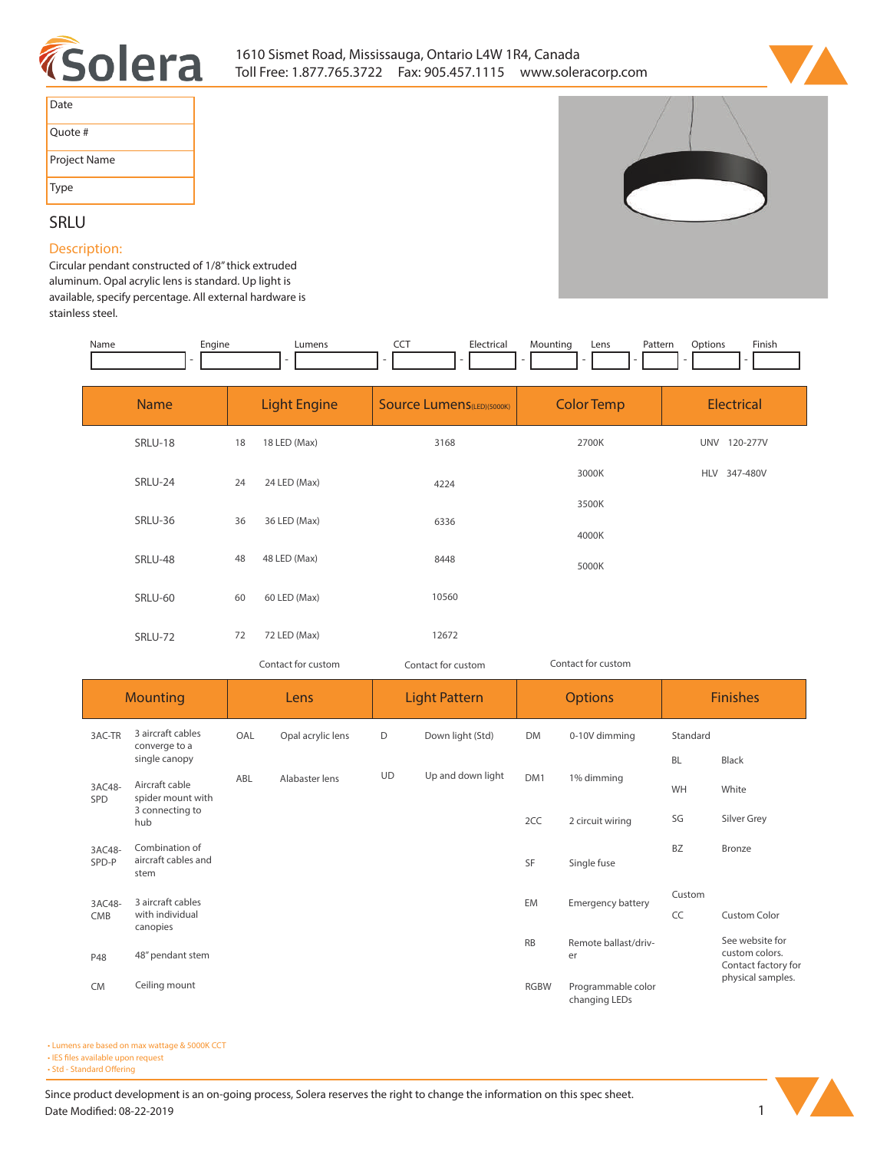



| Date         |
|--------------|
| Ouote #      |
| Project Name |
| <b>Type</b>  |

# **SRLU Description:**

**Circular pendant constructed of 1/8" thick extruded aluminum. Opal acrylic lens is standard. Up light is available, specify percentage. All external hardware is stainless steel.**

| Name            | Engine                                        |                     | Lumens            | CCT                               | Electrical           | Mounting           | Lens<br>Pattern            | Options                | Finish                                                   |
|-----------------|-----------------------------------------------|---------------------|-------------------|-----------------------------------|----------------------|--------------------|----------------------------|------------------------|----------------------------------------------------------|
| <b>Name</b>     |                                               | <b>Light Engine</b> |                   | <b>Source Lumens</b> (LED)(5000K) |                      | <b>Color Temp</b>  |                            | <b>Electrical</b>      |                                                          |
|                 | <b>SRLU-18</b>                                | 18                  | 18 LED (Max)      |                                   | 3168                 |                    | 2700K                      |                        | UNV 120-277V                                             |
|                 | SRLU-24                                       | 24                  | 24 LED (Max)      |                                   | 4224                 |                    | 3000K                      |                        | HLV 347-480V                                             |
|                 | SRLU-36                                       | 36                  | 36 LED (Max)      |                                   | 6336                 |                    | 3500K<br>4000K             |                        |                                                          |
|                 | SRLU-48                                       |                     | 48 LED (Max)      |                                   | 8448                 | 5000K              |                            |                        |                                                          |
|                 | SRLU-60                                       | 60                  | 60 LED (Max)      |                                   | 10560                |                    |                            |                        |                                                          |
|                 | SRLU-72                                       | 72                  | 72 LED (Max)      |                                   | 12672                |                    |                            |                        |                                                          |
|                 |                                               | Contact for custom  |                   | Contact for custom                |                      | Contact for custom |                            |                        |                                                          |
|                 |                                               |                     |                   |                                   |                      |                    |                            |                        |                                                          |
|                 | <b>Mounting</b>                               |                     | Lens              |                                   | <b>Light Pattern</b> |                    | <b>Options</b>             |                        | <b>Finishes</b>                                          |
| 3AC-TR          | 3 aircraft cables<br>converge to a            | OAL                 | Opal acrylic lens | D                                 | Down light (Std)     | <b>DM</b>          | 0-10V dimming              | Standard               |                                                          |
| 3AC48-          | single canopy<br>Aircraft cable               | ABL                 | Alabaster lens    | UD                                | Up and down light    | DM1                | 1% dimming                 | <b>BL</b><br><b>WH</b> | Black<br>White                                           |
| SPD             | spider mount with<br>3 connecting to<br>hub   |                     |                   |                                   |                      | 2CC                | 2 circuit wiring           | SG                     | Silver Grey                                              |
| 3AC48-<br>SPD-P | Combination of<br>aircraft cables and<br>stem |                     |                   |                                   |                      | SF                 | Single fuse                | BZ                     | Bronze                                                   |
| 3AC48-<br>CMB   | 3 aircraft cables<br>with individual          |                     |                   |                                   |                      | EM                 | Emergency battery          | Custom<br>CC           | Custom Color                                             |
| P48             | canopies<br>48" pendant stem                  |                     |                   |                                   |                      | <b>RB</b>          | Remote ballast/driv-<br>er |                        | See website for<br>custom colors.<br>Contact factory for |